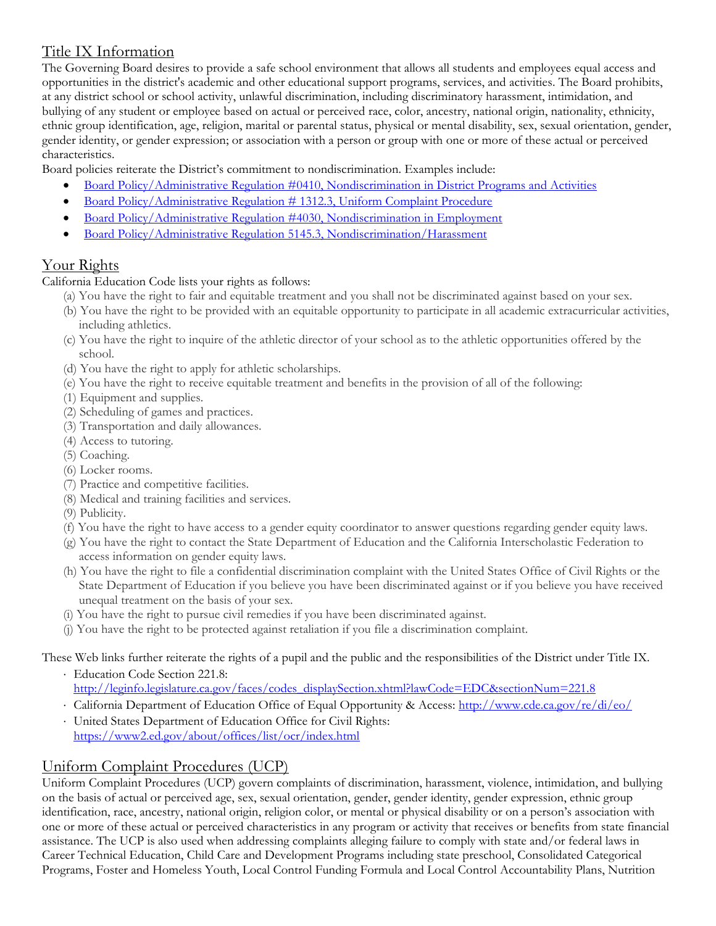## Title IX Information

The Governing Board desires to provide a safe school environment that allows all students and employees equal access and opportunities in the district's academic and other educational support programs, services, and activities. The Board prohibits, at any district school or school activity, unlawful discrimination, including discriminatory harassment, intimidation, and bullying of any student or employee based on actual or perceived race, color, ancestry, national origin, nationality, ethnicity, ethnic group identification, age, religion, marital or parental status, physical or mental disability, sex, sexual orientation, gender, gender identity, or gender expression; or association with a person or group with one or more of these actual or perceived characteristics.

Board policies reiterate the District's commitment to nondiscrimination. Examples include:

- [Board Policy/Administrative Regulation #0410,](http://www.eesd.net/Download.asp?L=0&LMID=397531&PN=DocumentUploads&DivisionID=&DepartmentID=&SubDepartmentID=&SubP=Documents&Act=Download&T=2&I=155189) Nondiscrimination in District Programs and Activities
- [Board Policy/Administrative Regulation # 1312.3, Uniform Complaint Procedure](http://www.eesd.net/Download.asp?L=0&LMID=397531&PN=DocumentUploads&DivisionID=&DepartmentID=&SubDepartmentID=&SubP=Documents&Act=Download&T=2&I=155193)
- [Board Policy/Administrative Regulation #4030,](http://www.eesd.net/Download.asp?L=0&LMID=397531&PN=DocumentUploads&DivisionID=&DepartmentID=&SubDepartmentID=&SubP=Documents&Act=Download&T=2&I=155188) Nondiscrimination in Employment
- [Board Policy/Administrative Regulation 5145.3, Nondiscrimination/Harassment](http://www.eesd.net/Download.asp?L=0&LMID=397531&PN=DocumentUploads&DivisionID=&DepartmentID=&SubDepartmentID=&SubP=Documents&Act=Download&T=2&I=155192)

## Your Rights

California Education Code lists your rights as follows:

- (a) You have the right to fair and equitable treatment and you shall not be discriminated against based on your sex.
- (b) You have the right to be provided with an equitable opportunity to participate in all academic extracurricular activities, including athletics.
- (c) You have the right to inquire of the athletic director of your school as to the athletic opportunities offered by the school.
- (d) You have the right to apply for athletic scholarships.
- (e) You have the right to receive equitable treatment and benefits in the provision of all of the following:
- (1) Equipment and supplies.
- (2) Scheduling of games and practices.
- (3) Transportation and daily allowances.
- (4) Access to tutoring.
- (5) Coaching.
- (6) Locker rooms.
- (7) Practice and competitive facilities.
- (8) Medical and training facilities and services.
- (9) Publicity.
- (f) You have the right to have access to a gender equity coordinator to answer questions regarding gender equity laws.
- (g) You have the right to contact the State Department of Education and the California Interscholastic Federation to access information on gender equity laws.
- (h) You have the right to file a confidential discrimination complaint with the United States Office of Civil Rights or the State Department of Education if you believe you have been discriminated against or if you believe you have received unequal treatment on the basis of your sex.
- (i) You have the right to pursue civil remedies if you have been discriminated against.
- (j) You have the right to be protected against retaliation if you file a discrimination complaint.

These Web links further reiterate the rights of a pupil and the public and the responsibilities of the District under Title IX.

- Education Code Section 221.8: [http://leginfo.legislature.ca.gov/faces/codes\\_displaySection.xhtml?lawCode=EDC&sectionNum=221.8](http://leginfo.legislature.ca.gov/faces/codes_displaySection.xhtml?lawCode=EDC§ionNum=221.8)
- California Department of Education Office of Equal Opportunity & Access: <http://www.cde.ca.gov/re/di/eo/>
- United States Department of Education Office for Civil Rights: <https://www2.ed.gov/about/offices/list/ocr/index.html>

## Uniform Complaint Procedures (UCP)

Uniform Complaint Procedures (UCP) govern complaints of discrimination, harassment, violence, intimidation, and bullying on the basis of actual or perceived age, sex, sexual orientation, gender, gender identity, gender expression, ethnic group identification, race, ancestry, national origin, religion color, or mental or physical disability or on a person's association with one or more of these actual or perceived characteristics in any program or activity that receives or benefits from state financial assistance. The UCP is also used when addressing complaints alleging failure to comply with state and/or federal laws in Career Technical Education, Child Care and Development Programs including state preschool, Consolidated Categorical Programs, Foster and Homeless Youth, Local Control Funding Formula and Local Control Accountability Plans, Nutrition